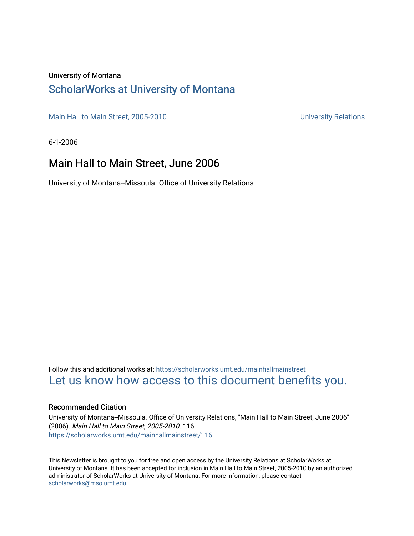#### University of Montana

### [ScholarWorks at University of Montana](https://scholarworks.umt.edu/)

[Main Hall to Main Street, 2005-2010](https://scholarworks.umt.edu/mainhallmainstreet) Main Hall to Main Street, 2005-2010

6-1-2006

### Main Hall to Main Street, June 2006

University of Montana--Missoula. Office of University Relations

Follow this and additional works at: [https://scholarworks.umt.edu/mainhallmainstreet](https://scholarworks.umt.edu/mainhallmainstreet?utm_source=scholarworks.umt.edu%2Fmainhallmainstreet%2F116&utm_medium=PDF&utm_campaign=PDFCoverPages) [Let us know how access to this document benefits you.](https://goo.gl/forms/s2rGfXOLzz71qgsB2) 

#### Recommended Citation

University of Montana--Missoula. Office of University Relations, "Main Hall to Main Street, June 2006" (2006). Main Hall to Main Street, 2005-2010. 116. [https://scholarworks.umt.edu/mainhallmainstreet/116](https://scholarworks.umt.edu/mainhallmainstreet/116?utm_source=scholarworks.umt.edu%2Fmainhallmainstreet%2F116&utm_medium=PDF&utm_campaign=PDFCoverPages)

This Newsletter is brought to you for free and open access by the University Relations at ScholarWorks at University of Montana. It has been accepted for inclusion in Main Hall to Main Street, 2005-2010 by an authorized administrator of ScholarWorks at University of Montana. For more information, please contact [scholarworks@mso.umt.edu.](mailto:scholarworks@mso.umt.edu)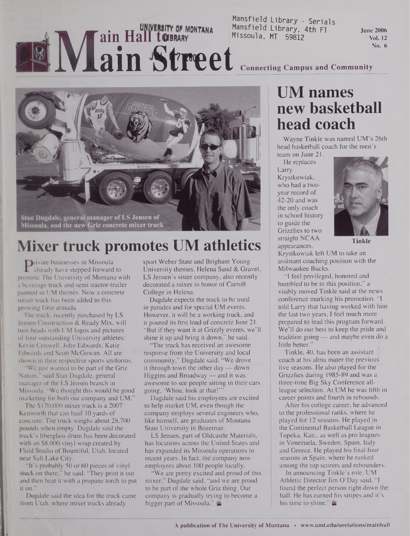# Mansfield Library - Serials<br>Mansfield Library - Serials<br>Mansfield Library, 4th Fl. Missoula, MT 59812 **ain Hall to BRARY** MONTANA Mansfield Library, 4th Fi

**June 2006 Vol. 12 No. 6**

**Connecting Campus and Community**



# **Mixer truck promotes UM athletics**

**P**rivate businesses in Missoula<br>already have stepped forward<br>omote The University of Montan already have stepped forward to promote The University of Montana with a beverage truck and semi tractor-trailer painted in UM themes. Now a concrete mixer truck has been added to this growing Griz armada.

The truck, recently purchased by LS Jensen Construction & Ready Mix, will turn heads with UM logos and pictures of four outstanding University athletes: Kevin Criswell, John Edwards, Katie Edwards and Scott McGowan. All are shown in their respective sports uniforms.

We just wanted to be part of the Griz Nation," said Stan Dugdale, general manager of the LS Jensen branch in Missoula. "We thought this would be good marketing for both our company and UM."

The \$170,000 mixer truck is a 2007 Kenworth that can haul 10 yards of concrete. The truck weighs about 28,700 pounds when empty. Dugdale said the truck's fiberglass drum has been decorated with an \$8,000 vinyl wrap created by Fluid Studio of Bountiful, Utah, located near Salt Lake City.

"It's probably 50 or 60 pieces of vinyl stuck on there," he said. "They print it out and then heat it with a propane torch to put it on."

Dugdale said the idea for the truck came from Utah, where mixer trucks already

sport Weber State and Brigham Young University themes. Helena Sand & Gravel, LS Jensen's sister company, also recently decorated a mixer in honor of Carroll College in Helena.

Dugdale expects the truck to be used in parades and for special UM events. However, it will be a working truck, and it poured its first load of concrete June 21. "But if they want it at Grizzly events, we'll shine it up and bring it down," he said.

"The truck has received an awesome response from the University and local community," Dugdale said. "We drove it through town the other day — down Higgins and Broadway — and it was awesome to see people sitting in their cars going, 'Whoa, look at that!"'

Dugdale said his employees are excited to help market UM, even though the company employs several engineers who, like himself, are graduates of Montana State University in Bozeman.

LS Jensen, part of Oldcastle Materials, has locations across the United States and has expanded its Missoula operations in recent years. In fact, the company now employees about 100 people locally.

"We are pretty excited and proud of this mixer," Dugdale said, "and we are proud to be part of the whole Griz thing. Our company is gradually trying to become a bigger part of Missoula."

## **UM names new basketball head coach**

Wayne Tinkle was named UM's 26th head basketball coach for the men's team on June 21.

He replaces Larry Krystkowiak, who had a twoyear record of 42-20 and was the only coach in school history to guide the Grizzlies to two straight NCAA appearances.



**Tinkle**

Krystkowiak left UM to take an assistant coaching position with the Milwaukee Bucks.

"I feel privileged, honored and humbled to be in this position," a visibly moved Tinkle said at the news conference marking his promotion. "I told Larry that having worked with him the last two years, I feel much more prepared to lead this program forward. We'll do our best to keep the pride and tradition going — and maybe even do a little better.'

Tinkle, 40, has been an assistant coach at his alma mater the previous five seasons. He also played for the Grizzlies during 1985-89 and was a three-time Big Sky Conference allleague selection. At UM he was fifth in career points and fourth in rebounds.

After his college career, he advanced to the professional ranks, where he played for 12 seasons. He played in the Continental Basketball League in Topeka, Kan., as well as pro leagues in Venezuela, Sweden, Spain, Italy and Greece. He played his final four seasons in Spain, where he ranked among the top scorers and rebounders.

In announcing Tinkle's role, UM Athletic Director Jim O'Day said, "I found the perfect person right down the hall. He has earned his stripes and it's his time to shine."